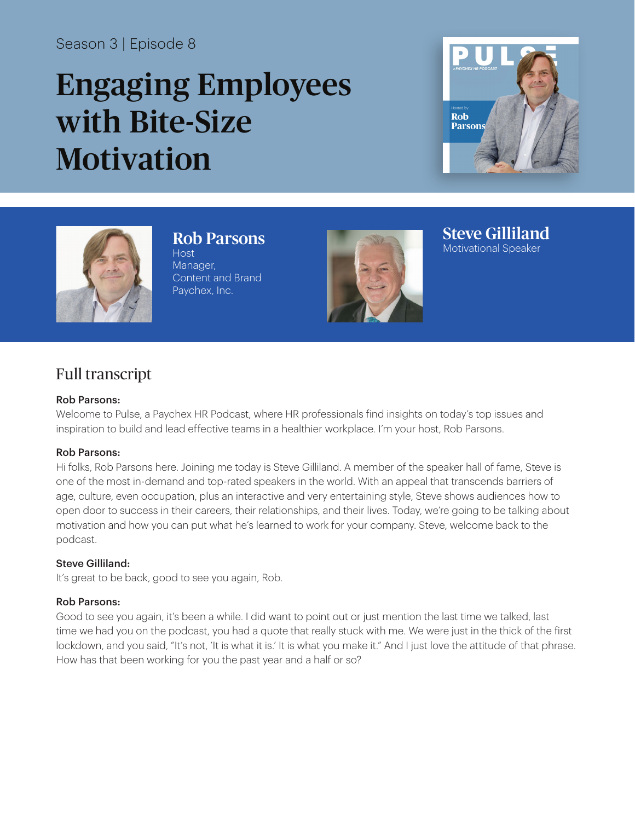# Season 3 | Episode 8

# Engaging Employees with Bite-Size **Motivation**





Rob Parsons **Host** Manager, Content and Brand Paychex, Inc.



Steve Gilliland Motivational Speaker

# Full transcript

#### Rob Parsons:

Welcome to Pulse, a Paychex HR Podcast, where HR professionals find insights on today's top issues and inspiration to build and lead effective teams in a healthier workplace. I'm your host, Rob Parsons.

#### Rob Parsons:

Hi folks, Rob Parsons here. Joining me today is Steve Gilliland. A member of the speaker hall of fame, Steve is one of the most in-demand and top-rated speakers in the world. With an appeal that transcends barriers of age, culture, even occupation, plus an interactive and very entertaining style, Steve shows audiences how to open door to success in their careers, their relationships, and their lives. Today, we're going to be talking about motivation and how you can put what he's learned to work for your company. Steve, welcome back to the podcast.

# Steve Gilliland:

It's great to be back, good to see you again, Rob.

# Rob Parsons:

Good to see you again, it's been a while. I did want to point out or just mention the last time we talked, last time we had you on the podcast, you had a quote that really stuck with me. We were just in the thick of the first lockdown, and you said, "It's not, 'It is what it is.' It is what you make it." And I just love the attitude of that phrase. How has that been working for you the past year and a half or so?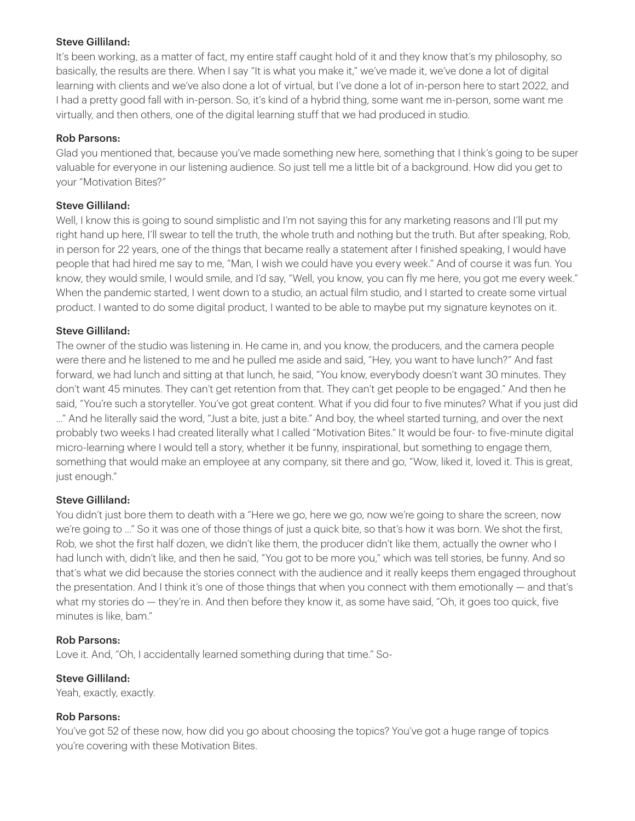#### Steve Gilliland:

It's been working, as a matter of fact, my entire staff caught hold of it and they know that's my philosophy, so basically, the results are there. When I say "It is what you make it," we've made it, we've done a lot of digital learning with clients and we've also done a lot of virtual, but I've done a lot of in-person here to start 2022, and I had a pretty good fall with in-person. So, it's kind of a hybrid thing, some want me in-person, some want me virtually, and then others, one of the digital learning stuff that we had produced in studio.

#### Rob Parsons:

Glad you mentioned that, because you've made something new here, something that I think's going to be super valuable for everyone in our listening audience. So just tell me a little bit of a background. How did you get to your "Motivation Bites?"

#### Steve Gilliland:

Well, I know this is going to sound simplistic and I'm not saying this for any marketing reasons and I'll put my right hand up here, I'll swear to tell the truth, the whole truth and nothing but the truth. But after speaking, Rob, in person for 22 years, one of the things that became really a statement after I finished speaking, I would have people that had hired me say to me, "Man, I wish we could have you every week." And of course it was fun. You know, they would smile, I would smile, and I'd say, "Well, you know, you can fly me here, you got me every week." When the pandemic started, I went down to a studio, an actual film studio, and I started to create some virtual product. I wanted to do some digital product, I wanted to be able to maybe put my signature keynotes on it.

#### Steve Gilliland:

The owner of the studio was listening in. He came in, and you know, the producers, and the camera people were there and he listened to me and he pulled me aside and said, "Hey, you want to have lunch?" And fast forward, we had lunch and sitting at that lunch, he said, "You know, everybody doesn't want 30 minutes. They don't want 45 minutes. They can't get retention from that. They can't get people to be engaged." And then he said, "You're such a storyteller. You've got great content. What if you did four to five minutes? What if you just did ..." And he literally said the word, "Just a bite, just a bite." And boy, the wheel started turning, and over the next probably two weeks I had created literally what I called "Motivation Bites." It would be four- to five-minute digital micro-learning where I would tell a story, whether it be funny, inspirational, but something to engage them, something that would make an employee at any company, sit there and go, "Wow, liked it, loved it. This is great, just enough."

# Steve Gilliland:

You didn't just bore them to death with a "Here we go, here we go, now we're going to share the screen, now we're going to ..." So it was one of those things of just a quick bite, so that's how it was born. We shot the first, Rob, we shot the first half dozen, we didn't like them, the producer didn't like them, actually the owner who I had lunch with, didn't like, and then he said, "You got to be more you," which was tell stories, be funny. And so that's what we did because the stories connect with the audience and it really keeps them engaged throughout the presentation. And I think it's one of those things that when you connect with them emotionally — and that's what my stories do — they're in. And then before they know it, as some have said, "Oh, it goes too quick, five minutes is like, bam."

#### Rob Parsons:

Love it. And, "Oh, I accidentally learned something during that time." So-

# Steve Gilliland:

Yeah, exactly, exactly.

#### Rob Parsons:

You've got 52 of these now, how did you go about choosing the topics? You've got a huge range of topics you're covering with these Motivation Bites.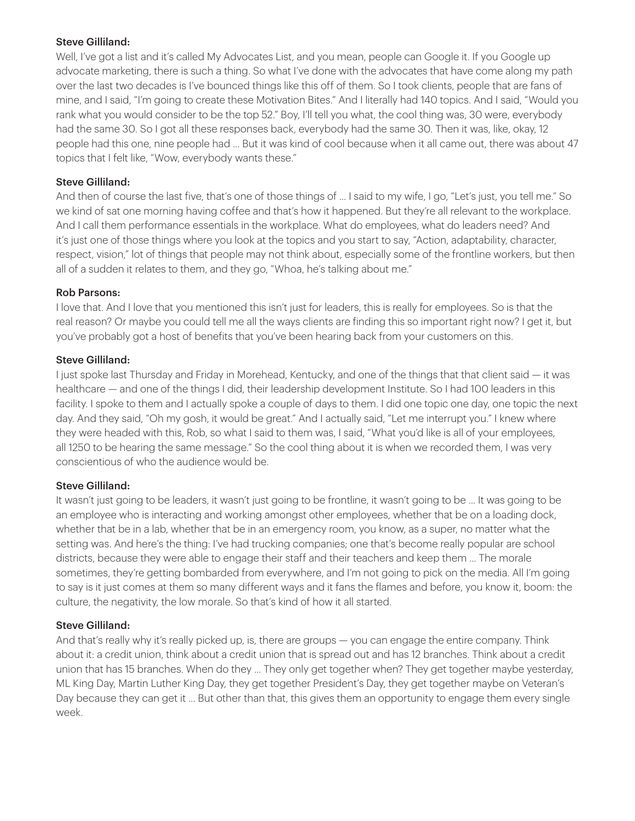# Steve Gilliland:

Well, I've got a list and it's called My Advocates List, and you mean, people can Google it. If you Google up advocate marketing, there is such a thing. So what I've done with the advocates that have come along my path over the last two decades is I've bounced things like this off of them. So I took clients, people that are fans of mine, and I said, "I'm going to create these Motivation Bites." And I literally had 140 topics. And I said, "Would you rank what you would consider to be the top 52." Boy, I'll tell you what, the cool thing was, 30 were, everybody had the same 30. So I got all these responses back, everybody had the same 30. Then it was, like, okay, 12 people had this one, nine people had ... But it was kind of cool because when it all came out, there was about 47 topics that I felt like, "Wow, everybody wants these."

# Steve Gilliland:

And then of course the last five, that's one of those things of ... I said to my wife, I go, "Let's just, you tell me." So we kind of sat one morning having coffee and that's how it happened. But they're all relevant to the workplace. And I call them performance essentials in the workplace. What do employees, what do leaders need? And it's just one of those things where you look at the topics and you start to say, "Action, adaptability, character, respect, vision," lot of things that people may not think about, especially some of the frontline workers, but then all of a sudden it relates to them, and they go, "Whoa, he's talking about me."

# Rob Parsons:

I love that. And I love that you mentioned this isn't just for leaders, this is really for employees. So is that the real reason? Or maybe you could tell me all the ways clients are finding this so important right now? I get it, but you've probably got a host of benefits that you've been hearing back from your customers on this.

# Steve Gilliland:

I just spoke last Thursday and Friday in Morehead, Kentucky, and one of the things that that client said — it was healthcare — and one of the things I did, their leadership development Institute. So I had 100 leaders in this facility. I spoke to them and I actually spoke a couple of days to them. I did one topic one day, one topic the next day. And they said, "Oh my gosh, it would be great." And I actually said, "Let me interrupt you." I knew where they were headed with this, Rob, so what I said to them was, I said, "What you'd like is all of your employees, all 1250 to be hearing the same message." So the cool thing about it is when we recorded them, I was very conscientious of who the audience would be.

# Steve Gilliland:

It wasn't just going to be leaders, it wasn't just going to be frontline, it wasn't going to be ... It was going to be an employee who is interacting and working amongst other employees, whether that be on a loading dock, whether that be in a lab, whether that be in an emergency room, you know, as a super, no matter what the setting was. And here's the thing: I've had trucking companies; one that's become really popular are school districts, because they were able to engage their staff and their teachers and keep them ... The morale sometimes, they're getting bombarded from everywhere, and I'm not going to pick on the media. All I'm going to say is it just comes at them so many different ways and it fans the flames and before, you know it, boom: the culture, the negativity, the low morale. So that's kind of how it all started.

# Steve Gilliland:

And that's really why it's really picked up, is, there are groups — you can engage the entire company. Think about it: a credit union, think about a credit union that is spread out and has 12 branches. Think about a credit union that has 15 branches. When do they ... They only get together when? They get together maybe yesterday, ML King Day, Martin Luther King Day, they get together President's Day, they get together maybe on Veteran's Day because they can get it ... But other than that, this gives them an opportunity to engage them every single week.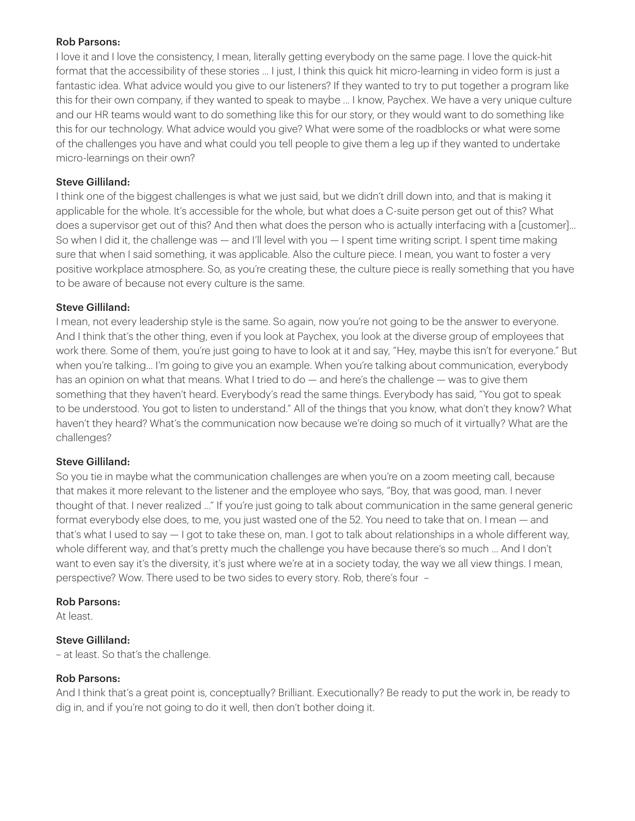#### Rob Parsons:

I love it and I love the consistency, I mean, literally getting everybody on the same page. I love the quick-hit format that the accessibility of these stories ... I just, I think this quick hit micro-learning in video form is just a fantastic idea. What advice would you give to our listeners? If they wanted to try to put together a program like this for their own company, if they wanted to speak to maybe ... I know, Paychex. We have a very unique culture and our HR teams would want to do something like this for our story, or they would want to do something like this for our technology. What advice would you give? What were some of the roadblocks or what were some of the challenges you have and what could you tell people to give them a leg up if they wanted to undertake micro-learnings on their own?

# Steve Gilliland:

I think one of the biggest challenges is what we just said, but we didn't drill down into, and that is making it applicable for the whole. It's accessible for the whole, but what does a C-suite person get out of this? What does a supervisor get out of this? And then what does the person who is actually interfacing with a [customer]... So when I did it, the challenge was — and I'll level with you — I spent time writing script. I spent time making sure that when I said something, it was applicable. Also the culture piece. I mean, you want to foster a very positive workplace atmosphere. So, as you're creating these, the culture piece is really something that you have to be aware of because not every culture is the same.

# Steve Gilliland:

I mean, not every leadership style is the same. So again, now you're not going to be the answer to everyone. And I think that's the other thing, even if you look at Paychex, you look at the diverse group of employees that work there. Some of them, you're just going to have to look at it and say, "Hey, maybe this isn't for everyone." But when you're talking... I'm going to give you an example. When you're talking about communication, everybody has an opinion on what that means. What I tried to do — and here's the challenge — was to give them something that they haven't heard. Everybody's read the same things. Everybody has said, "You got to speak to be understood. You got to listen to understand." All of the things that you know, what don't they know? What haven't they heard? What's the communication now because we're doing so much of it virtually? What are the challenges?

# Steve Gilliland:

So you tie in maybe what the communication challenges are when you're on a zoom meeting call, because that makes it more relevant to the listener and the employee who says, "Boy, that was good, man. I never thought of that. I never realized ..." If you're just going to talk about communication in the same general generic format everybody else does, to me, you just wasted one of the 52. You need to take that on. I mean — and that's what I used to say — I got to take these on, man. I got to talk about relationships in a whole different way, whole different way, and that's pretty much the challenge you have because there's so much ... And I don't want to even say it's the diversity, it's just where we're at in a society today, the way we all view things. I mean, perspective? Wow. There used to be two sides to every story. Rob, there's four-

# Rob Parsons:

At least.

# Steve Gilliland:

– at least. So that's the challenge.

# Rob Parsons:

And I think that's a great point is, conceptually? Brilliant. Executionally? Be ready to put the work in, be ready to dig in, and if you're not going to do it well, then don't bother doing it.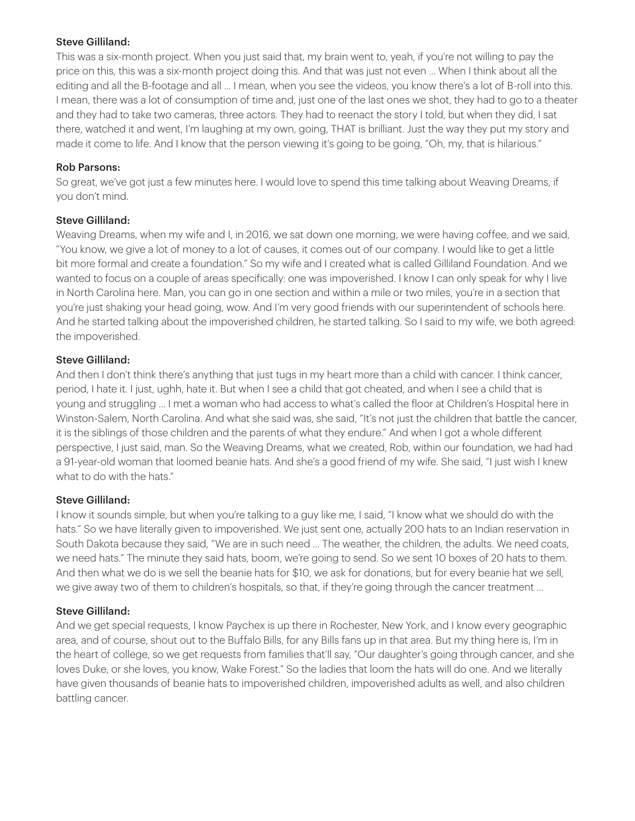#### Steve Gilliland:

This was a six-month project. When you just said that, my brain went to, yeah, if you're not willing to pay the price on this, this was a six-month project doing this. And that was just not even ... When I think about all the editing and all the B-footage and all ... I mean, when you see the videos, you know there's a lot of B-roll into this. I mean, there was a lot of consumption of time and, just one of the last ones we shot, they had to go to a theater and they had to take two cameras, three actors. They had to reenact the story I told, but when they did, I sat there, watched it and went, I'm laughing at my own, going, THAT is brilliant. Just the way they put my story and made it come to life. And I know that the person viewing it's going to be going, "Oh, my, that is hilarious."

#### Rob Parsons:

So great, we've got just a few minutes here. I would love to spend this time talking about Weaving Dreams, if you don't mind.

# Steve Gilliland:

Weaving Dreams, when my wife and I, in 2016, we sat down one morning, we were having coffee, and we said, "You know, we give a lot of money to a lot of causes, it comes out of our company. I would like to get a little bit more formal and create a foundation." So my wife and I created what is called Gilliland Foundation. And we wanted to focus on a couple of areas specifically: one was impoverished. I know I can only speak for why I live in North Carolina here. Man, you can go in one section and within a mile or two miles, you're in a section that you're just shaking your head going, wow. And I'm very good friends with our superintendent of schools here. And he started talking about the impoverished children, he started talking. So I said to my wife, we both agreed: the impoverished.

#### Steve Gilliland:

And then I don't think there's anything that just tugs in my heart more than a child with cancer. I think cancer, period, I hate it. I just, ughh, hate it. But when I see a child that got cheated, and when I see a child that is young and struggling ... I met a woman who had access to what's called the floor at Children's Hospital here in Winston-Salem, North Carolina. And what she said was, she said, "It's not just the children that battle the cancer, it is the siblings of those children and the parents of what they endure." And when I got a whole different perspective, I just said, man. So the Weaving Dreams, what we created, Rob, within our foundation, we had had a 91-year-old woman that loomed beanie hats. And she's a good friend of my wife. She said, "I just wish I knew what to do with the hats"

# Steve Gilliland:

I know it sounds simple, but when you're talking to a guy like me, I said, "I know what we should do with the hats." So we have literally given to impoverished. We just sent one, actually 200 hats to an Indian reservation in South Dakota because they said, "We are in such need ... The weather, the children, the adults. We need coats, we need hats." The minute they said hats, boom, we're going to send. So we sent 10 boxes of 20 hats to them. And then what we do is we sell the beanie hats for \$10, we ask for donations, but for every beanie hat we sell, we give away two of them to children's hospitals, so that, if they're going through the cancer treatment ...

# Steve Gilliland:

And we get special requests, I know Paychex is up there in Rochester, New York, and I know every geographic area, and of course, shout out to the Buffalo Bills, for any Bills fans up in that area. But my thing here is, I'm in the heart of college, so we get requests from families that'll say, "Our daughter's going through cancer, and she loves Duke, or she loves, you know, Wake Forest." So the ladies that loom the hats will do one. And we literally have given thousands of beanie hats to impoverished children, impoverished adults as well, and also children battling cancer.